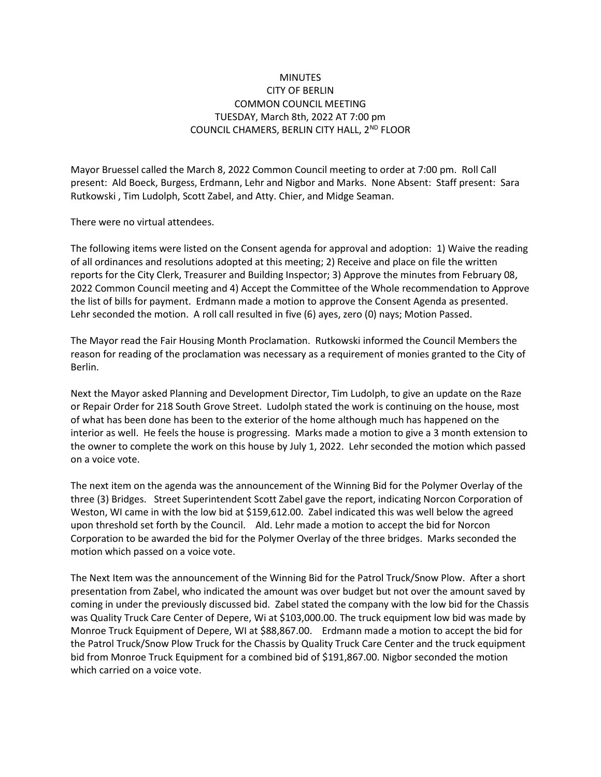## **MINUTES** CITY OF BERLIN COMMON COUNCIL MEETING TUESDAY, March 8th, 2022 AT 7:00 pm COUNCIL CHAMERS, BERLIN CITY HALL, 2<sup>ND</sup> FLOOR

Mayor Bruessel called the March 8, 2022 Common Council meeting to order at 7:00 pm. Roll Call present: Ald Boeck, Burgess, Erdmann, Lehr and Nigbor and Marks. None Absent: Staff present: Sara Rutkowski , Tim Ludolph, Scott Zabel, and Atty. Chier, and Midge Seaman.

There were no virtual attendees.

The following items were listed on the Consent agenda for approval and adoption: 1) Waive the reading of all ordinances and resolutions adopted at this meeting; 2) Receive and place on file the written reports for the City Clerk, Treasurer and Building Inspector; 3) Approve the minutes from February 08, 2022 Common Council meeting and 4) Accept the Committee of the Whole recommendation to Approve the list of bills for payment. Erdmann made a motion to approve the Consent Agenda as presented. Lehr seconded the motion. A roll call resulted in five (6) ayes, zero (0) nays; Motion Passed.

The Mayor read the Fair Housing Month Proclamation. Rutkowski informed the Council Members the reason for reading of the proclamation was necessary as a requirement of monies granted to the City of Berlin.

Next the Mayor asked Planning and Development Director, Tim Ludolph, to give an update on the Raze or Repair Order for 218 South Grove Street. Ludolph stated the work is continuing on the house, most of what has been done has been to the exterior of the home although much has happened on the interior as well. He feels the house is progressing. Marks made a motion to give a 3 month extension to the owner to complete the work on this house by July 1, 2022. Lehr seconded the motion which passed on a voice vote.

The next item on the agenda was the announcement of the Winning Bid for the Polymer Overlay of the three (3) Bridges. Street Superintendent Scott Zabel gave the report, indicating Norcon Corporation of Weston, WI came in with the low bid at \$159,612.00. Zabel indicated this was well below the agreed upon threshold set forth by the Council. Ald. Lehr made a motion to accept the bid for Norcon Corporation to be awarded the bid for the Polymer Overlay of the three bridges. Marks seconded the motion which passed on a voice vote.

The Next Item was the announcement of the Winning Bid for the Patrol Truck/Snow Plow. After a short presentation from Zabel, who indicated the amount was over budget but not over the amount saved by coming in under the previously discussed bid. Zabel stated the company with the low bid for the Chassis was Quality Truck Care Center of Depere, Wi at \$103,000.00. The truck equipment low bid was made by Monroe Truck Equipment of Depere, WI at \$88,867.00. Erdmann made a motion to accept the bid for the Patrol Truck/Snow Plow Truck for the Chassis by Quality Truck Care Center and the truck equipment bid from Monroe Truck Equipment for a combined bid of \$191,867.00. Nigbor seconded the motion which carried on a voice vote.